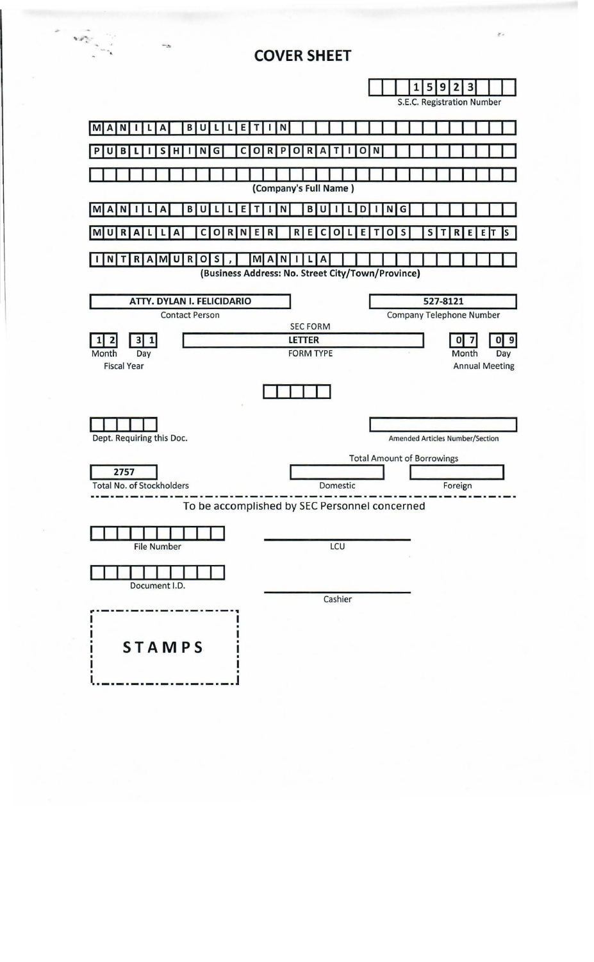

**COVER SHEET**